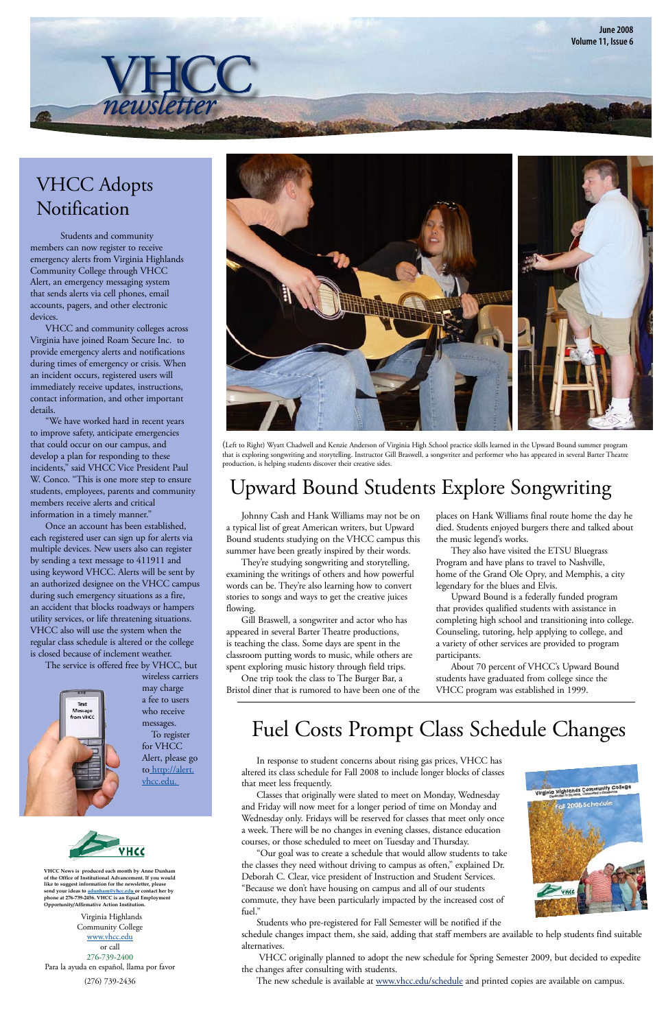**June 2008 Volume 11, Issue 6**

 Students and community members can now register to receive emergency alerts from Virginia Highlands Community College through VHCC Alert, an emergency messaging system that sends alerts via cell phones, email accounts, pagers, and other electronic devices.

VHCC and community colleges across Virginia have joined Roam Secure Inc. to provide emergency alerts and notifications during times of emergency or crisis. When an incident occurs, registered users will immediately receive updates, instructions, contact information, and other important details.

 "We have worked hard in recent years to improve safety, anticipate emergencies that could occur on our campus, and develop a plan for responding to these incidents," said VHCC Vice President Paul W. Conco. "This is one more step to ensure students, employees, parents and community members receive alerts and critical information in a timely manner."

 Once an account has been established, each registered user can sign up for alerts via multiple devices. New users also can register by sending a text message to 411911 and using keyword VHCC. Alerts will be sent by an authorized designee on the VHCC campus during such emergency situations as a fire, an accident that blocks roadways or hampers utility services, or life threatening situations. VHCC also will use the system when the regular class schedule is altered or the college is closed because of inclement weather.

 The service is offered free by VHCC, but

wireless carriers



Virginia Highlands Community College [www.vhcc.edu](http://www.vhcc.edu) or call 276-739-2400 Para la ayuda en español, llama por favor

(276) 739-2436

**VHCC News is produced each month by Anne Dunham of the Office of Institutional Advancement. If you would like to suggest information for the newsletter, please send your ideas to [adunham@vhcc.ed](mailto:adunham@vhcc.edu)u or contact her by phone at 276-739-2456. VHCC is an Equal Employment Opportunity/Affirmative Action Institution.**

Johnny Cash and Hank Williams may not be on a typical list of great American writers, but Upward Bound students studying on the VHCC campus this summer have been greatly inspired by their words.

## VHCC Adopts Notification

 $\overline{n}$ *eusletter* 

 In response to student concerns about rising gas prices, VHCC has altered its class schedule for Fall 2008 to include longer blocks of classes that meet less frequently.

 Classes that originally were slated to meet on Monday, Wednesday and Friday will now meet for a longer period of time on Monday and Wednesday only. Fridays will be reserved for classes that meet only once a week. There will be no changes in evening classes, distance education courses, or those scheduled to meet on Tuesday and Thursday.

 "Our goal was to create a schedule that would allow students to take the classes they need without driving to campus as often," explained Dr. Deborah C. Clear, vice president of Instruction and Student Services. "Because we don't have housing on campus and all of our students commute, they have been particularly impacted by the increased cost of fuel."



 Students who pre-registered for Fall Semester will be notified if the

schedule changes impact them, she said, adding that staff members are available to help students find suitable alternatives.

VHCC originally planned to adopt the new schedule for Spring Semester 2009, but decided to expedite the changes after consulting with students.

The new schedule is available at [www.vhcc.edu/schedule](http://www.vhcc.edu/schedule) and printed copies are available on campus.

### Fuel Costs Prompt Class Schedule Changes





(Left to Right) Wyatt Chadwell and Kenzie Anderson of Virginia High School practice skills learned in the Upward Bound summer program that is exploring songwriting and storytelling. Instructor Gill Braswell, a songwriter and performer who has appeared in several Barter Theatre production, is helping students discover their creative sides. 

## Upward Bound Students Explore Songwriting

 They're studying songwriting and storytelling, examining the writings of others and how powerful words can be. They're also learning how to convert stories to songs and ways to get the creative juices flowing. 

Gill Braswell, a songwriter and actor who has appeared in several Barter Theatre productions, is teaching the class. Some days are spent in the classroom putting words to music, while others are spent exploring music history through field trips.

 One trip took the class to The Burger Bar, a Bristol diner that is rumored to have been one of the places on Hank Williams final route home the day he died. Students enjoyed burgers there and talked about the music legend's works. 

 They also have visited the ETSU Bluegrass Program and have plans to travel to Nashville, home of the Grand Ole Opry, and Memphis, a city legendary for the blues and Elvis.

 Upward Bound is a federally funded program that provides qualified students with assistance in completing high school and transitioning into college. Counseling, tutoring, help applying to college, and a variety of other services are provided to program participants.

 About 70 percent of VHCC's Upward Bound students have graduated from college since the VHCC program was established in 1999.